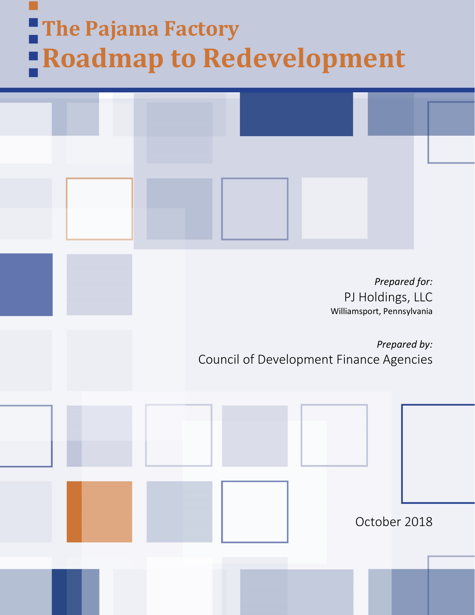# **The Pajama Factory Roadmap to Redevelopment**

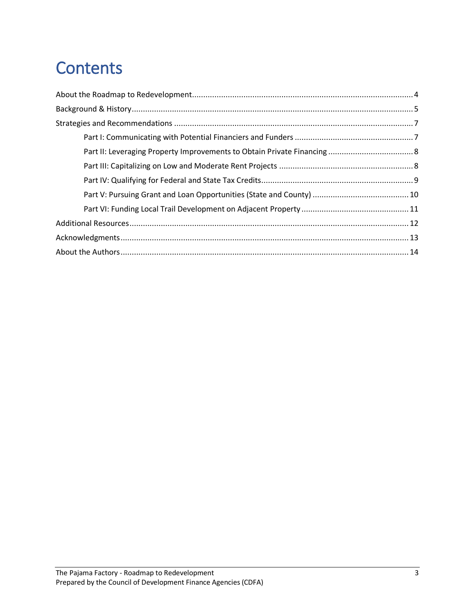## **Contents**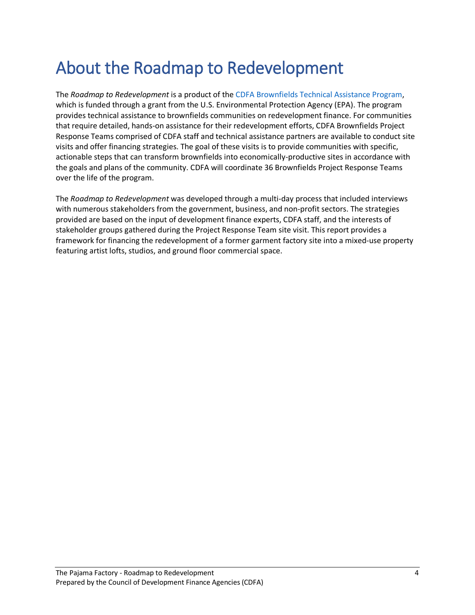## <span id="page-3-0"></span>About the Roadmap to Redevelopment

The *Roadmap to Redevelopment* is a product of the [CDFA Brownfields Technical Assistance Program,](http://www.cdfa.net/cdfa/cdfaweb.nsf/0/AE4DCA6EF6C10A3788257D7000567D43#top) which is funded through a grant from the U.S. Environmental Protection Agency (EPA). The program provides technical assistance to brownfields communities on redevelopment finance. For communities that require detailed, hands-on assistance for their redevelopment efforts, CDFA Brownfields Project Response Teams comprised of CDFA staff and technical assistance partners are available to conduct site visits and offer financing strategies. The goal of these visits is to provide communities with specific, actionable steps that can transform brownfields into economically-productive sites in accordance with the goals and plans of the community. CDFA will coordinate 36 Brownfields Project Response Teams over the life of the program.

The *Roadmap to Redevelopment* was developed through a multi-day process that included interviews with numerous stakeholders from the government, business, and non-profit sectors. The strategies provided are based on the input of development finance experts, CDFA staff, and the interests of stakeholder groups gathered during the Project Response Team site visit. This report provides a framework for financing the redevelopment of a former garment factory site into a mixed-use property featuring artist lofts, studios, and ground floor commercial space.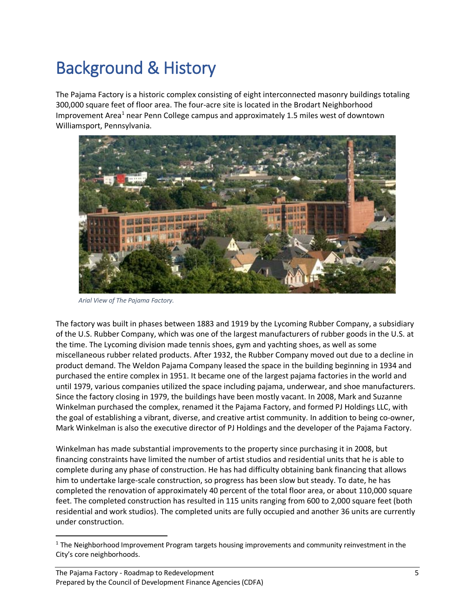## <span id="page-4-0"></span>Background & History

The Pajama Factory is a historic complex consisting of eight interconnected masonry buildings totaling 300,000 square feet of floor area. The four-acre site is located in the Brodart Neighborhood Improvement Area<sup>[1](#page-4-1)</sup> near Penn College campus and approximately 1.5 miles west of downtown Williamsport, Pennsylvania.



*Arial View of The Pajama Factory.* 

The factory was built in phases between 1883 and 1919 by the Lycoming Rubber Company, a subsidiary of the U.S. Rubber Company, which was one of the largest manufacturers of rubber goods in the U.S. at the time. The Lycoming division made tennis shoes, gym and yachting shoes, as well as some miscellaneous rubber related products. After 1932, the Rubber Company moved out due to a decline in product demand. The Weldon Pajama Company leased the space in the building beginning in 1934 and purchased the entire complex in 1951. It became one of the largest pajama factories in the world and until 1979, various companies utilized the space including pajama, underwear, and shoe manufacturers. Since the factory closing in 1979, the buildings have been mostly vacant. In 2008, Mark and Suzanne Winkelman purchased the complex, renamed it the Pajama Factory, and formed PJ Holdings LLC, with the goal of establishing a vibrant, diverse, and creative artist community. In addition to being co-owner, Mark Winkelman is also the executive director of PJ Holdings and the developer of the Pajama Factory.

Winkelman has made substantial improvements to the property since purchasing it in 2008, but financing constraints have limited the number of artist studios and residential units that he is able to complete during any phase of construction. He has had difficulty obtaining bank financing that allows him to undertake large-scale construction, so progress has been slow but steady. To date, he has completed the renovation of approximately 40 percent of the total floor area, or about 110,000 square feet. The completed construction has resulted in 115 units ranging from 600 to 2,000 square feet (both residential and work studios). The completed units are fully occupied and another 36 units are currently under construction.

<span id="page-4-1"></span> $1$  The Neighborhood Improvement Program targets housing improvements and community reinvestment in the City's core neighborhoods.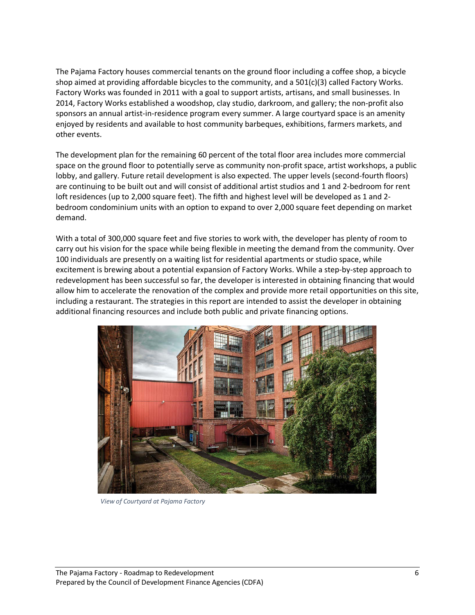The Pajama Factory houses commercial tenants on the ground floor including a coffee shop, a bicycle shop aimed at providing affordable bicycles to the community, and a 501(c)(3) called Factory Works. Factory Works was founded in 2011 with a goal to support artists, artisans, and small businesses. In 2014, Factory Works established a woodshop, clay studio, darkroom, and gallery; the non-profit also sponsors an annual artist-in-residence program every summer. A large courtyard space is an amenity enjoyed by residents and available to host community barbeques, exhibitions, farmers markets, and other events.

The development plan for the remaining 60 percent of the total floor area includes more commercial space on the ground floor to potentially serve as community non-profit space, artist workshops, a public lobby, and gallery. Future retail development is also expected. The upper levels (second-fourth floors) are continuing to be built out and will consist of additional artist studios and 1 and 2-bedroom for rent loft residences (up to 2,000 square feet). The fifth and highest level will be developed as 1 and 2 bedroom condominium units with an option to expand to over 2,000 square feet depending on market demand.

With a total of 300,000 square feet and five stories to work with, the developer has plenty of room to carry out his vision for the space while being flexible in meeting the demand from the community. Over 100 individuals are presently on a waiting list for residential apartments or studio space, while excitement is brewing about a potential expansion of Factory Works. While a step-by-step approach to redevelopment has been successful so far, the developer is interested in obtaining financing that would allow him to accelerate the renovation of the complex and provide more retail opportunities on this site, including a restaurant. The strategies in this report are intended to assist the developer in obtaining additional financing resources and include both public and private financing options.



*View of Courtyard at Pajama Factory*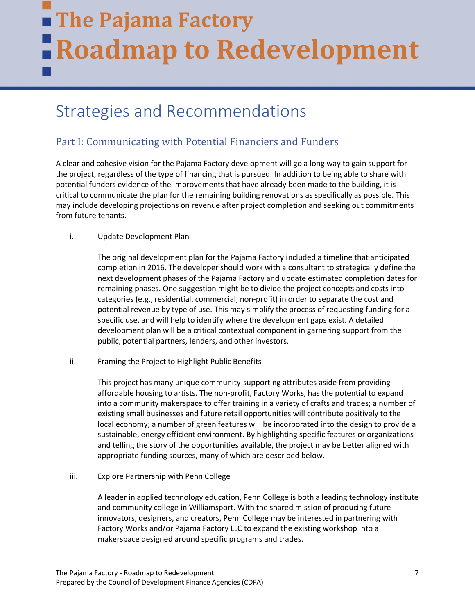## **The Pajama Factory Roadmap to Redevelopment**

### <span id="page-6-0"></span>Strategies and Recommendations

#### <span id="page-6-1"></span>Part I: Communicating with Potential Financiers and Funders

A clear and cohesive vision for the Pajama Factory development will go a long way to gain support for the project, regardless of the type of financing that is pursued. In addition to being able to share with potential funders evidence of the improvements that have already been made to the building, it is critical to communicate the plan for the remaining building renovations as specifically as possible. This may include developing projections on revenue after project completion and seeking out commitments from future tenants.

#### i. Update Development Plan

The original development plan for the Pajama Factory included a timeline that anticipated completion in 2016. The developer should work with a consultant to strategically define the next development phases of the Pajama Factory and update estimated completion dates for remaining phases. One suggestion might be to divide the project concepts and costs into categories (e.g., residential, commercial, non-profit) in order to separate the cost and potential revenue by type of use. This may simplify the process of requesting funding for a specific use, and will help to identify where the development gaps exist. A detailed development plan will be a critical contextual component in garnering support from the public, potential partners, lenders, and other investors.

ii. Framing the Project to Highlight Public Benefits

This project has many unique community-supporting attributes aside from providing affordable housing to artists. The non-profit, Factory Works, has the potential to expand into a community makerspace to offer training in a variety of crafts and trades; a number of existing small businesses and future retail opportunities will contribute positively to the local economy; a number of green features will be incorporated into the design to provide a sustainable, energy efficient environment. By highlighting specific features or organizations and telling the story of the opportunities available, the project may be better aligned with appropriate funding sources, many of which are described below.

iii. Explore Partnership with Penn College

A leader in applied technology education, Penn College is both a leading technology institute and community college in Williamsport. With the shared mission of producing future innovators, designers, and creators, Penn College may be interested in partnering with Factory Works and/or Pajama Factory LLC to expand the existing workshop into a makerspace designed around specific programs and trades.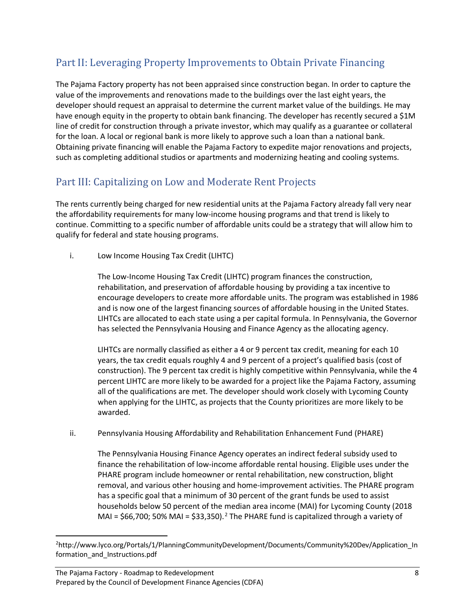### <span id="page-7-0"></span>Part II: Leveraging Property Improvements to Obtain Private Financing

The Pajama Factory property has not been appraised since construction began. In order to capture the value of the improvements and renovations made to the buildings over the last eight years, the developer should request an appraisal to determine the current market value of the buildings. He may have enough equity in the property to obtain bank financing. The developer has recently secured a \$1M line of credit for construction through a private investor, which may qualify as a guarantee or collateral for the loan. A local or regional bank is more likely to approve such a loan than a national bank. Obtaining private financing will enable the Pajama Factory to expedite major renovations and projects, such as completing additional studios or apartments and modernizing heating and cooling systems.

#### <span id="page-7-1"></span>Part III: Capitalizing on Low and Moderate Rent Projects

The rents currently being charged for new residential units at the Pajama Factory already fall very near the affordability requirements for many low-income housing programs and that trend is likely to continue. Committing to a specific number of affordable units could be a strategy that will allow him to qualify for federal and state housing programs.

i. Low Income Housing Tax Credit (LIHTC)

The Low-Income Housing Tax Credit (LIHTC) program finances the construction, rehabilitation, and preservation of affordable housing by providing a tax incentive to encourage developers to create more affordable units. The program was established in 1986 and is now one of the largest financing sources of affordable housing in the United States. LIHTCs are allocated to each state using a per capital formula. In Pennsylvania, the Governor has selected the Pennsylvania Housing and Finance Agency as the allocating agency.

LIHTCs are normally classified as either a 4 or 9 percent tax credit, meaning for each 10 years, the tax credit equals roughly 4 and 9 percent of a project's qualified basis (cost of construction). The 9 percent tax credit is highly competitive within Pennsylvania, while the 4 percent LIHTC are more likely to be awarded for a project like the Pajama Factory, assuming all of the qualifications are met. The developer should work closely with Lycoming County when applying for the LIHTC, as projects that the County prioritizes are more likely to be awarded.

ii. Pennsylvania Housing Affordability and Rehabilitation Enhancement Fund (PHARE)

The Pennsylvania Housing Finance Agency operates an indirect federal subsidy used to finance the rehabilitation of low-income affordable rental housing. Eligible uses under the PHARE program include homeowner or rental rehabilitation, new construction, blight removal, and various other housing and home-improvement activities. The PHARE program has a specific goal that a minimum of 30 percent of the grant funds be used to assist households below 50 percent of the median area income (MAI) for Lycoming County (2018 MAI =  $$66,700$ ; 50% MAI =  $$33,350$ ).<sup>[2](#page-7-2)</sup> The PHARE fund is capitalized through a variety of

<span id="page-7-2"></span> $\overline{2}$ <sup>2</sup>http://www.lyco.org/Portals/1/PlanningCommunityDevelopment/Documents/Community%20Dev/Application\_In formation\_and\_Instructions.pdf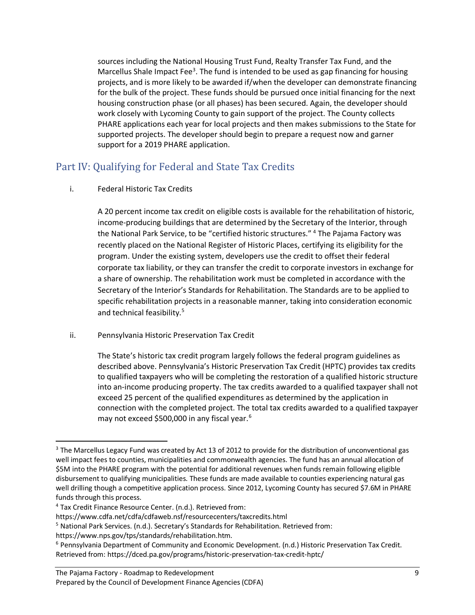sources including the National Housing Trust Fund, Realty Transfer Tax Fund, and the Marcellus Shale Impact Fee<sup>[3](#page-8-1)</sup>. The fund is intended to be used as gap financing for housing projects, and is more likely to be awarded if/when the developer can demonstrate financing for the bulk of the project. These funds should be pursued once initial financing for the next housing construction phase (or all phases) has been secured. Again, the developer should work closely with Lycoming County to gain support of the project. The County collects PHARE applications each year for local projects and then makes submissions to the State for supported projects. The developer should begin to prepare a request now and garner support for a 2019 PHARE application.

#### <span id="page-8-0"></span>Part IV: Qualifying for Federal and State Tax Credits

#### i. Federal Historic Tax Credits

A 20 percent income tax credit on eligible costs is available for the rehabilitation of historic, income-producing buildings that are determined by the Secretary of the Interior, through the National Park Service, to be "certified historic structures." [4](#page-8-2) The Pajama Factory was recently placed on the National Register of Historic Places, certifying its eligibility for the program. Under the existing system, developers use the credit to offset their federal corporate tax liability, or they can transfer the credit to corporate investors in exchange for a share of ownership. The rehabilitation work must be completed in accordance with the Secretary of the Interior's Standards for Rehabilitation. The Standards are to be applied to specific rehabilitation projects in a reasonable manner, taking into consideration economic and technical feasibility.<sup>[5](#page-8-3)</sup>

ii. Pennsylvania Historic Preservation Tax Credit

The State's historic tax credit program largely follows the federal program guidelines as described above. Pennsylvania's Historic Preservation Tax Credit (HPTC) provides tax credits to qualified taxpayers who will be completing the restoration of a qualified historic structure into an-income producing property. The tax credits awarded to a qualified taxpayer shall not exceed 25 percent of the qualified expenditures as determined by the application in connection with the completed project. The total tax credits awarded to a qualified taxpayer may not exceed \$500,000 in any fiscal year.<sup>[6](#page-8-4)</sup>

<span id="page-8-1"></span><sup>&</sup>lt;sup>3</sup> The Marcellus Legacy Fund was created by Act 13 of 2012 to provide for the distribution of unconventional gas well impact fees to counties, municipalities and commonwealth agencies. The fund has an annual allocation of \$5M into the PHARE program with the potential for additional revenues when funds remain following eligible disbursement to qualifying municipalities. These funds are made available to counties experiencing natural gas well drilling though a competitive application process. Since 2012, Lycoming County has secured \$7.6M in PHARE funds through this process.

<span id="page-8-2"></span><sup>4</sup> Tax Credit Finance Resource Center. (n.d.). Retrieved from:

https://www.cdfa.net/cdfa/cdfaweb.nsf/resourcecenters/taxcredits.html

<span id="page-8-3"></span><sup>5</sup> National Park Services. (n.d.). Secretary's Standards for Rehabilitation. Retrieved from:

https://www.nps.gov/tps/standards/rehabilitation.htm.

<span id="page-8-4"></span><sup>6</sup> Pennsylvania Department of Community and Economic Development. (n.d.) Historic Preservation Tax Credit. Retrieved from: https://dced.pa.gov/programs/historic-preservation-tax-credit-hptc/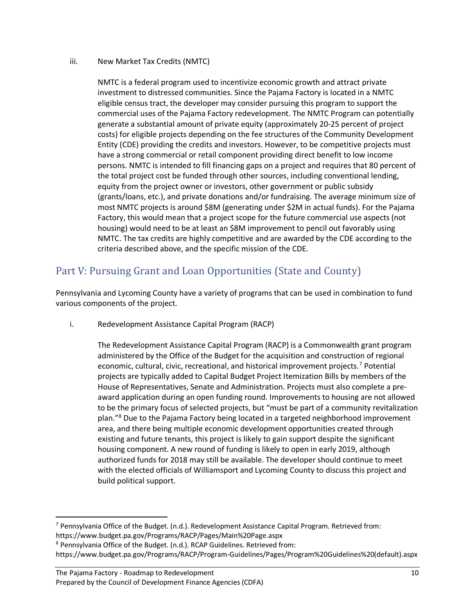#### iii. New Market Tax Credits (NMTC)

NMTC is a federal program used to incentivize economic growth and attract private investment to distressed communities. Since the Pajama Factory is located in a NMTC eligible census tract, the developer may consider pursuing this program to support the commercial uses of the Pajama Factory redevelopment. The NMTC Program can potentially generate a substantial amount of private equity (approximately 20-25 percent of project costs) for eligible projects depending on the fee structures of the Community Development Entity (CDE) providing the credits and investors. However, to be competitive projects must have a strong commercial or retail component providing direct benefit to low income persons. NMTC is intended to fill financing gaps on a project and requires that 80 percent of the total project cost be funded through other sources, including conventional lending, equity from the project owner or investors, other government or public subsidy (grants/loans, etc.), and private donations and/or fundraising. The average minimum size of most NMTC projects is around \$8M (generating under \$2M in actual funds). For the Pajama Factory, this would mean that a project scope for the future commercial use aspects (not housing) would need to be at least an \$8M improvement to pencil out favorably using NMTC. The tax credits are highly competitive and are awarded by the CDE according to the criteria described above, and the specific mission of the CDE.

#### <span id="page-9-0"></span>Part V: Pursuing Grant and Loan Opportunities (State and County)

Pennsylvania and Lycoming County have a variety of programs that can be used in combination to fund various components of the project.

i. Redevelopment Assistance Capital Program (RACP)

The Redevelopment Assistance Capital Program (RACP) is a Commonwealth grant program administered by the Office of the Budget for the acquisition and construction of regional economic, cultural, civic, recreational, and historical improvement projects.<sup>[7](#page-9-1)</sup> Potential projects are typically added to Capital Budget Project Itemization Bills by members of the House of Representatives, Senate and Administration. Projects must also complete a preaward application during an open funding round. Improvements to housing are not allowed to be the primary focus of selected projects, but "must be part of a community revitalization plan."[8](#page-9-2) Due to the Pajama Factory being located in a targeted neighborhood improvement area, and there being multiple economic development opportunities created through existing and future tenants, this project is likely to gain support despite the significant housing component. A new round of funding is likely to open in early 2019, although authorized funds for 2018 may still be available. The developer should continue to meet with the elected officials of Williamsport and Lycoming County to discuss this project and build political support.

<span id="page-9-1"></span><sup>&</sup>lt;sup>7</sup> Pennsylvania Office of the Budget. (n.d.). Redevelopment Assistance Capital Program. Retrieved from: https://www.budget.pa.gov/Programs/RACP/Pages/Main%20Page.aspx

<span id="page-9-2"></span><sup>8</sup> Pennsylvania Office of the Budget. (n.d.). RCAP Guidelines. Retrieved from:

https://www.budget.pa.gov/Programs/RACP/Program-Guidelines/Pages/Program%20Guidelines%20(default).aspx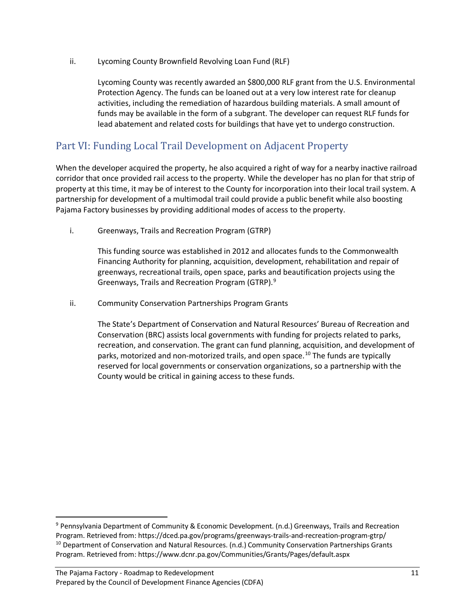ii. Lycoming County Brownfield Revolving Loan Fund (RLF)

Lycoming County was recently awarded an \$800,000 RLF grant from the U.S. Environmental Protection Agency. The funds can be loaned out at a very low interest rate for cleanup activities, including the remediation of hazardous building materials. A small amount of funds may be available in the form of a subgrant. The developer can request RLF funds for lead abatement and related costs for buildings that have yet to undergo construction.

#### <span id="page-10-0"></span>Part VI: Funding Local Trail Development on Adjacent Property

When the developer acquired the property, he also acquired a right of way for a nearby inactive railroad corridor that once provided rail access to the property. While the developer has no plan for that strip of property at this time, it may be of interest to the County for incorporation into their local trail system. A partnership for development of a multimodal trail could provide a public benefit while also boosting Pajama Factory businesses by providing additional modes of access to the property.

i. Greenways, Trails and Recreation Program (GTRP)

This funding source was established in 2012 and allocates funds to the Commonwealth Financing Authority for planning, acquisition, development, rehabilitation and repair of greenways, recreational trails, open space, parks and beautification projects using the Greenways, Trails and Recreation Program (GTRP).<sup>[9](#page-10-1)</sup>

ii. Community Conservation Partnerships Program Grants

The State's Department of Conservation and Natural Resources' Bureau of Recreation and Conservation (BRC) assists local governments with funding for projects related to parks, recreation, and conservation. The grant can fund planning, acquisition, and development of parks, motorized and non-motorized trails, and open space.[10](#page-10-2) The funds are typically reserved for local governments or conservation organizations, so a partnership with the County would be critical in gaining access to these funds.

<span id="page-10-2"></span><span id="page-10-1"></span> <sup>9</sup> Pennsylvania Department of Community & Economic Development. (n.d.) Greenways, Trails and Recreation Program. Retrieved from: https://dced.pa.gov/programs/greenways-trails-and-recreation-program-gtrp/ <sup>10</sup> Department of Conservation and Natural Resources. (n.d.) Community Conservation Partnerships Grants Program. Retrieved from: https://www.dcnr.pa.gov/Communities/Grants/Pages/default.aspx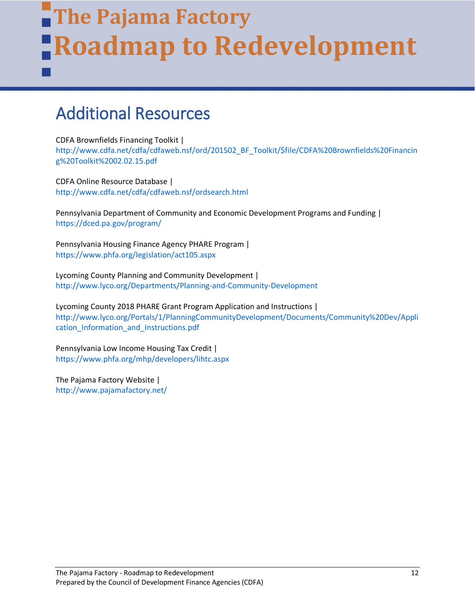## **The Pajama Factory Roadmap to Redevelopment**

### <span id="page-11-0"></span>Additional Resources

CDFA Brownfields Financing Toolkit |

İ

[http://www.cdfa.net/cdfa/cdfaweb.nsf/ord/201502\\_BF\\_Toolkit/\\$file/CDFA%20Brownfields%20Financin](http://www.cdfa.net/cdfa/cdfaweb.nsf/ord/201502_BF_Toolkit/$file/CDFA%20Brownfields%20Financing%20Toolkit%2002.02.15.pdf) [g%20Toolkit%2002.02.15.pdf](http://www.cdfa.net/cdfa/cdfaweb.nsf/ord/201502_BF_Toolkit/$file/CDFA%20Brownfields%20Financing%20Toolkit%2002.02.15.pdf)

CDFA Online Resource Database | <http://www.cdfa.net/cdfa/cdfaweb.nsf/ordsearch.html>

Pennsylvania Department of Community and Economic Development Programs and Funding | <https://dced.pa.gov/program/>

Pennsylvania Housing Finance Agency PHARE Program | <https://www.phfa.org/legislation/act105.aspx>

Lycoming County Planning and Community Development | <http://www.lyco.org/Departments/Planning-and-Community-Development>

Lycoming County 2018 PHARE Grant Program Application and Instructions | [http://www.lyco.org/Portals/1/PlanningCommunityDevelopment/Documents/Community%20Dev/Appli](http://www.lyco.org/Portals/1/PlanningCommunityDevelopment/Documents/Community%20Dev/Application_Information_and_Instructions.pdf) [cation\\_Information\\_and\\_Instructions.pdf](http://www.lyco.org/Portals/1/PlanningCommunityDevelopment/Documents/Community%20Dev/Application_Information_and_Instructions.pdf)

Pennsylvania Low Income Housing Tax Credit | <https://www.phfa.org/mhp/developers/lihtc.aspx>

The Pajama Factory Website | <http://www.pajamafactory.net/>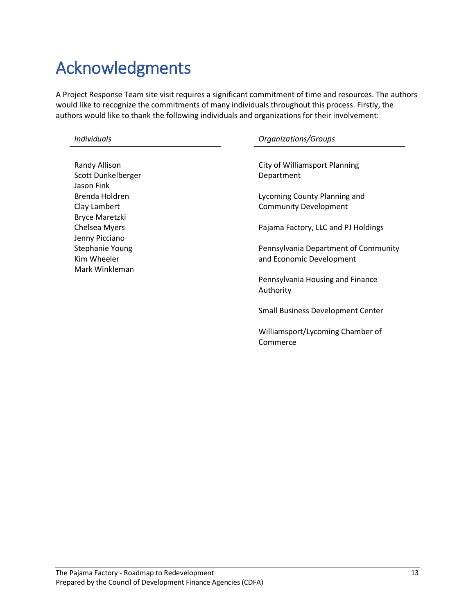## <span id="page-12-0"></span>Acknowledgments

A Project Response Team site visit requires a significant commitment of time and resources. The authors would like to recognize the commitments of many individuals throughout this process. Firstly, the authors would like to thank the following individuals and organizations for their involvement:

| <b>Randy Allison</b>  |
|-----------------------|
| Scott Dunkelberger    |
| Jason Fink            |
| Brenda Holdren        |
| Clay Lambert          |
| <b>Bryce Maretzki</b> |
| <b>Chelsea Myers</b>  |
| Jenny Picciano        |
| Stephanie Young       |
| Kim Wheeler           |
| Mark Winkleman        |

#### *Individuals Organizations/Groups*

City of Williamsport Planning Department

Lycoming County Planning and Community Development

Pajama Factory, LLC and PJ Holdings

Pennsylvania Department of Community and Economic Development

Pennsylvania Housing and Finance Authority

Small Business Development Center

Williamsport/Lycoming Chamber of Commerce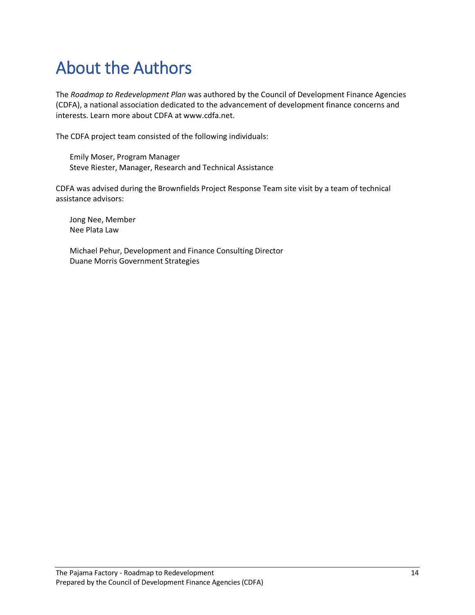## <span id="page-13-0"></span>About the Authors

The *Roadmap to Redevelopment Plan* was authored by the Council of Development Finance Agencies (CDFA), a national association dedicated to the advancement of development finance concerns and interests. Learn more about CDFA at www.cdfa.net.

The CDFA project team consisted of the following individuals:

Emily Moser, Program Manager Steve Riester, Manager, Research and Technical Assistance

CDFA was advised during the Brownfields Project Response Team site visit by a team of technical assistance advisors:

Jong Nee, Member Nee Plata Law

Michael Pehur, Development and Finance Consulting Director Duane Morris Government Strategies